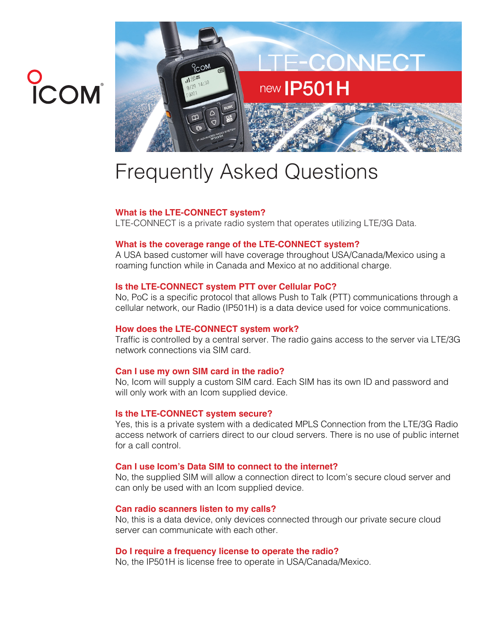# O<br>ICOM<sup>®</sup>



# Frequently Asked Questions

# **What is the LTE-CONNECT system?**

LTE-CONNECT is a private radio system that operates utilizing LTE/3G Data.

# **What is the coverage range of the LTE-CONNECT system?**

A USA based customer will have coverage throughout USA/Canada/Mexico using a roaming function while in Canada and Mexico at no additional charge.

# **Is the LTE-CONNECT system PTT over Cellular PoC?**

No, PoC is a specific protocol that allows Push to Talk (PTT) communications through a cellular network, our Radio (IP501H) is a data device used for voice communications.

# **How does the LTE-CONNECT system work?**

Traffic is controlled by a central server. The radio gains access to the server via LTE/3G network connections via SIM card.

# **Can I use my own SIM card in the radio?**

No, Icom will supply a custom SIM card. Each SIM has its own ID and password and will only work with an Icom supplied device.

# **Is the LTE-CONNECT system secure?**

Yes, this is a private system with a dedicated MPLS Connection from the LTE/3G Radio access network of carriers direct to our cloud servers. There is no use of public internet for a call control.

# **Can I use Icom's Data SIM to connect to the internet?**

No, the supplied SIM will allow a connection direct to Icom's secure cloud server and can only be used with an Icom supplied device.

# **Can radio scanners listen to my calls?**

No, this is a data device, only devices connected through our private secure cloud server can communicate with each other.

# **Do I require a frequency license to operate the radio?**

No, the IP501H is license free to operate in USA/Canada/Mexico.